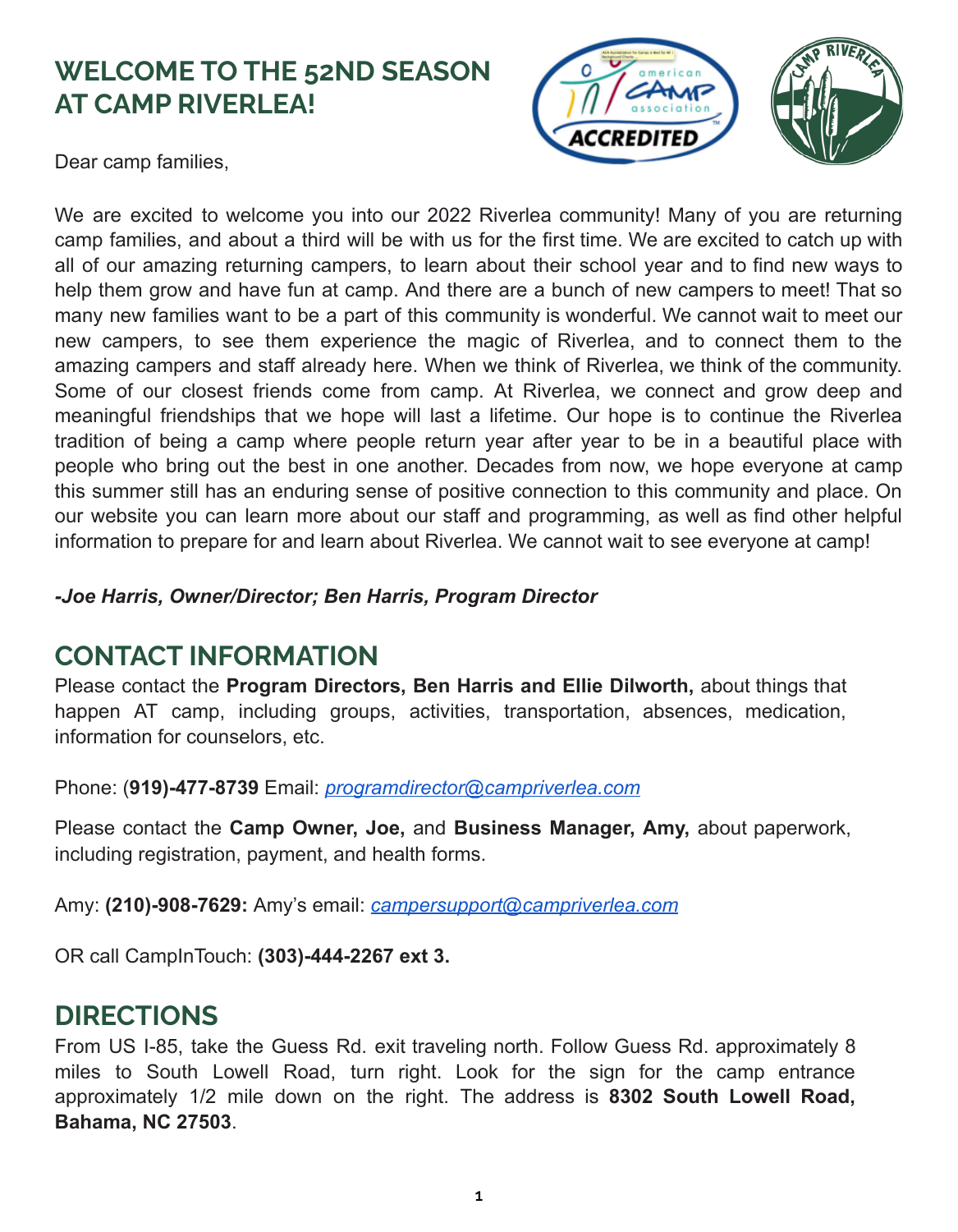# **WELCOME TO THE 52ND SEASON AT CAMP RIVERLEA!**

Dear camp families,



We are excited to welcome you into our 2022 Riverlea community! Many of you are returning camp families, and about a third will be with us for the first time. We are excited to catch up with all of our amazing returning campers, to learn about their school year and to find new ways to help them grow and have fun at camp. And there are a bunch of new campers to meet! That so many new families want to be a part of this community is wonderful. We cannot wait to meet our new campers, to see them experience the magic of Riverlea, and to connect them to the amazing campers and staff already here. When we think of Riverlea, we think of the community. Some of our closest friends come from camp. At Riverlea, we connect and grow deep and meaningful friendships that we hope will last a lifetime. Our hope is to continue the Riverlea tradition of being a camp where people return year after year to be in a beautiful place with people who bring out the best in one another. Decades from now, we hope everyone at camp this summer still has an enduring sense of positive connection to this community and place. On our website you can learn more about our staff and programming, as well as find other helpful information to prepare for and learn about Riverlea. We cannot wait to see everyone at camp!

*-Joe Harris, Owner/Director; Ben Harris, Program Director*

# **CONTACT INFORMATION**

Please contact the **Program Directors, Ben Harris and Ellie Dilworth,** about things that happen AT camp, including groups, activities, transportation, absences, medication, information for counselors, etc.

Phone: (**919)-477-8739** Email: *[programdirector@campriverlea.com](mailto:programdirector@campriverlea.com)*

Please contact the **Camp Owner, Joe,** and **Business Manager, Amy,** about paperwork, including registration, payment, and health forms.

Amy: **(210)-908-7629:** Amy's email: *[campersupport@campriverlea.com](mailto:campersupport@campriverlea.com)*

OR call CampInTouch: **(303)-444-2267 ext 3.**

# **DIRECTIONS**

From US I-85, take the Guess Rd. exit traveling north. Follow Guess Rd. approximately 8 miles to South Lowell Road, turn right. Look for the sign for the camp entrance approximately 1/2 mile down on the right. The address is **8302 South Lowell Road, Bahama, NC 27503**.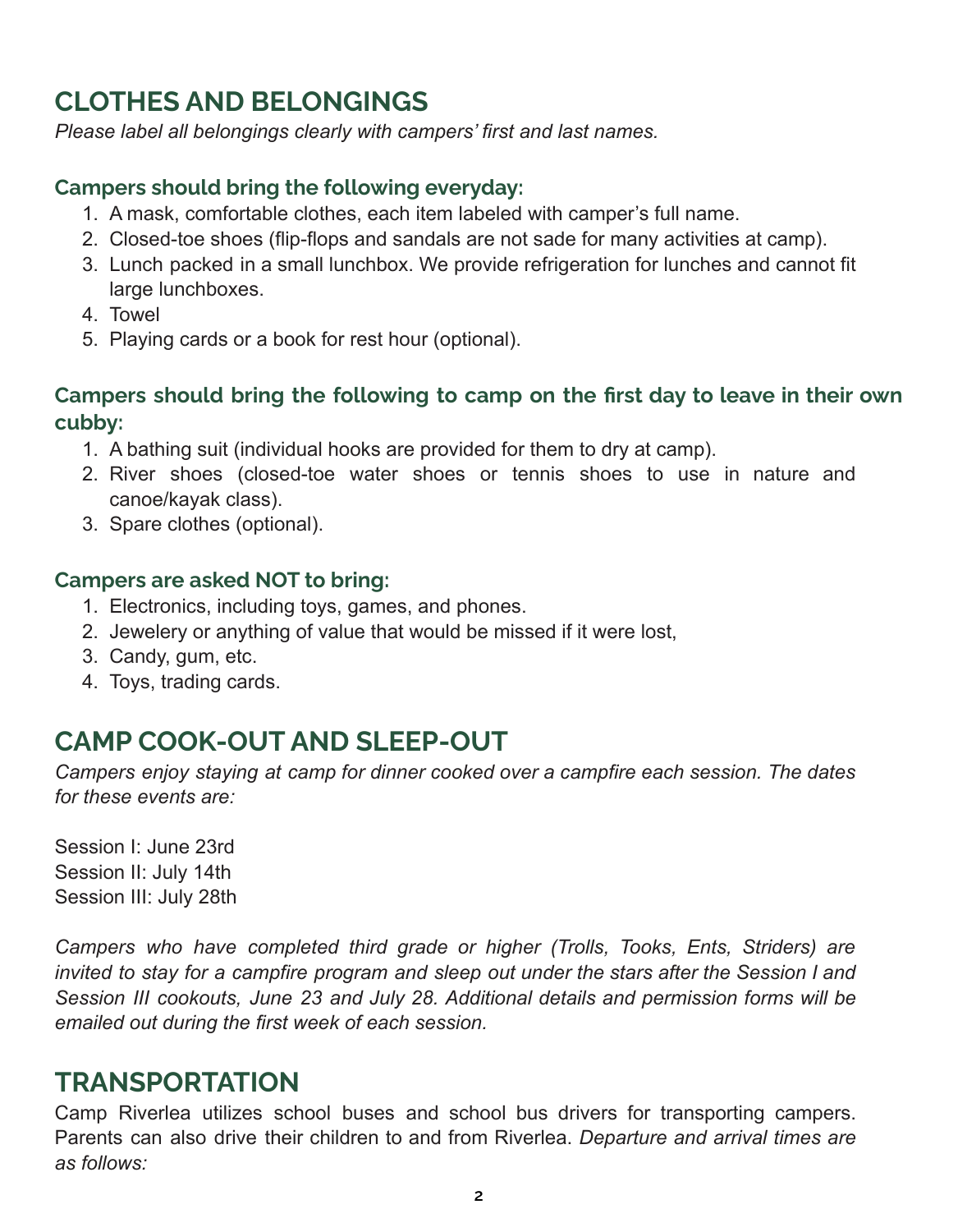# **CLOTHES AND BELONGINGS**

*Please label all belongings clearly with campers' first and last names.*

#### **Campers should bring the following everyday:**

- 1. A mask, comfortable clothes, each item labeled with camper's full name.
- 2. Closed-toe shoes (flip-flops and sandals are not sade for many activities at camp).
- 3. Lunch packed in a small lunchbox. We provide refrigeration for lunches and cannot fit large lunchboxes.
- 4. Towel
- 5. Playing cards or a book for rest hour (optional).

#### **Campers should bring the following to camp on the first day to leave in their own cubby:**

- 1. A bathing suit (individual hooks are provided for them to dry at camp).
- 2. River shoes (closed-toe water shoes or tennis shoes to use in nature and canoe/kayak class).
- 3. Spare clothes (optional).

#### **Campers are asked NOT to bring:**

- 1. Electronics, including toys, games, and phones.
- 2. Jewelery or anything of value that would be missed if it were lost,
- 3. Candy, gum, etc.
- 4. Toys, trading cards.

### **CAMP COOK-OUT AND SLEEP-OUT**

*Campers enjoy staying at camp for dinner cooked over a campfire each session. The dates for these events are:*

Session I: June 23rd Session II: July 14th Session III: July 28th

*Campers who have completed third grade or higher (Trolls, Tooks, Ents, Striders) are invited to stay for a campfire program and sleep out under the stars after the Session I and Session III cookouts, June 23 and July 28. Additional details and permission forms will be emailed out during the first week of each session.*

#### **TRANSPORTATION**

Camp Riverlea utilizes school buses and school bus drivers for transporting campers. Parents can also drive their children to and from Riverlea. *Departure and arrival times are as follows:*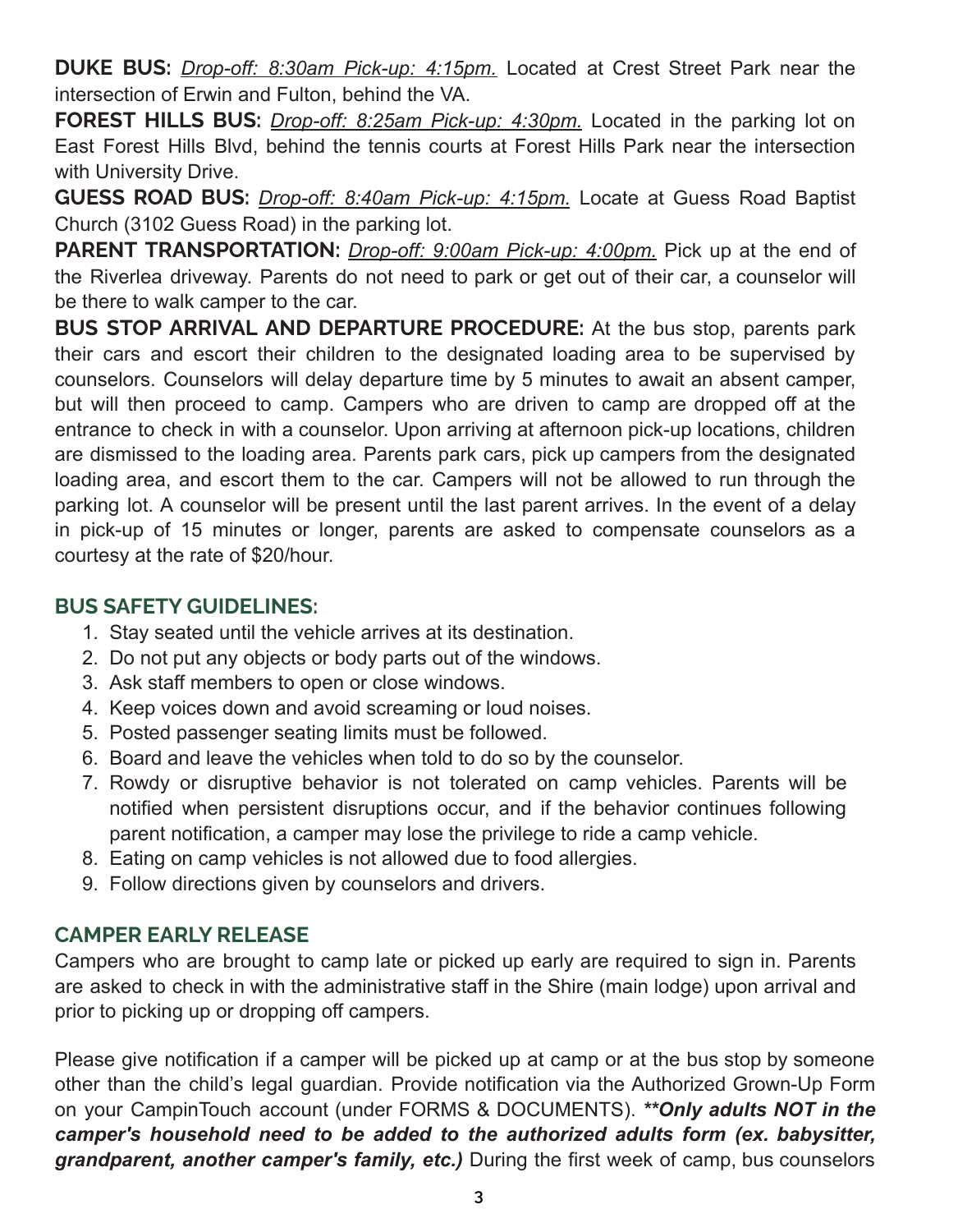**DUKE BUS:** *Drop-off: 8:30am Pick-up: 4:15pm.* Located at Crest Street Park near the intersection of Erwin and Fulton, behind the VA.

**FOREST HILLS BUS:** *Drop-off: 8:25am Pick-up: 4:30pm.* Located in the parking lot on East Forest Hills Blvd, behind the tennis courts at Forest Hills Park near the intersection with University Drive.

**GUESS ROAD BUS:** *Drop-off: 8:40am Pick-up: 4:15pm.* Locate at Guess Road Baptist Church (3102 Guess Road) in the parking lot.

**PARENT TRANSPORTATION:** *Drop-off: 9:00am Pick-up: 4:00pm.* Pick up at the end of the Riverlea driveway. Parents do not need to park or get out of their car, a counselor will be there to walk camper to the car.

**BUS STOP ARRIVAL AND DEPARTURE PROCEDURE:** At the bus stop, parents park their cars and escort their children to the designated loading area to be supervised by counselors. Counselors will delay departure time by 5 minutes to await an absent camper, but will then proceed to camp. Campers who are driven to camp are dropped off at the entrance to check in with a counselor. Upon arriving at afternoon pick-up locations, children are dismissed to the loading area. Parents park cars, pick up campers from the designated loading area, and escort them to the car. Campers will not be allowed to run through the parking lot. A counselor will be present until the last parent arrives. In the event of a delay in pick-up of 15 minutes or longer, parents are asked to compensate counselors as a courtesy at the rate of \$20/hour.

#### **BUS SAFETY GUIDELINES:**

- 1. Stay seated until the vehicle arrives at its destination.
- 2. Do not put any objects or body parts out of the windows.
- 3. Ask staff members to open or close windows.
- 4. Keep voices down and avoid screaming or loud noises.
- 5. Posted passenger seating limits must be followed.
- 6. Board and leave the vehicles when told to do so by the counselor.
- 7. Rowdy or disruptive behavior is not tolerated on camp vehicles. Parents will be notified when persistent disruptions occur, and if the behavior continues following parent notification, a camper may lose the privilege to ride a camp vehicle.
- 8. Eating on camp vehicles is not allowed due to food allergies.
- 9. Follow directions given by counselors and drivers.

#### **CAMPER EARLY RELEASE**

Campers who are brought to camp late or picked up early are required to sign in. Parents are asked to check in with the administrative staff in the Shire (main lodge) upon arrival and prior to picking up or dropping off campers.

Please give notification if a camper will be picked up at camp or at the bus stop by someone other than the child's legal guardian. Provide notification via the Authorized Grown-Up Form on your CampinTouch account (under FORMS & DOCUMENTS). *\*\*Only adults NOT in the camper's household need to be added to the authorized adults form (ex. babysitter, grandparent, another camper's family, etc.)* During the first week of camp, bus counselors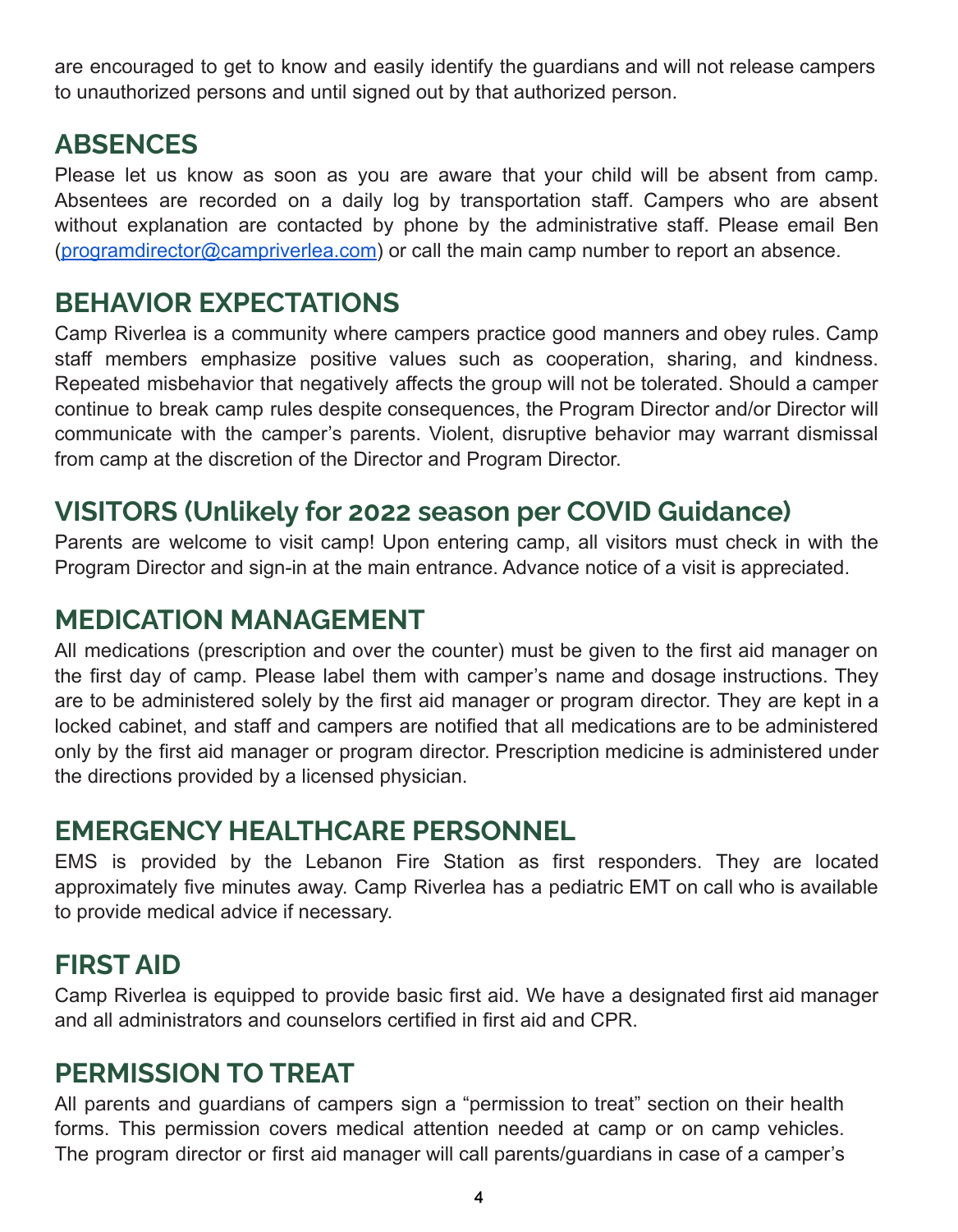are encouraged to get to know and easily identify the guardians and will not release campers to unauthorized persons and until signed out by that authorized person.

## **ABSENCES**

Please let us know as soon as you are aware that your child will be absent from camp. Absentees are recorded on a daily log by transportation staff. Campers who are absent without explanation are contacted by phone by the administrative staff. Please email Ben [\(programdirector@campriverlea.com\)](mailto:programdirector@campriverlea.com) or call the main camp number to report an absence.

## **BEHAVIOR EXPECTATIONS**

Camp Riverlea is a community where campers practice good manners and obey rules. Camp staff members emphasize positive values such as cooperation, sharing, and kindness. Repeated misbehavior that negatively affects the group will not be tolerated. Should a camper continue to break camp rules despite consequences, the Program Director and/or Director will communicate with the camper's parents. Violent, disruptive behavior may warrant dismissal from camp at the discretion of the Director and Program Director.

# **VISITORS (Unlikely for 2022 season per COVID Guidance)**

Parents are welcome to visit camp! Upon entering camp, all visitors must check in with the Program Director and sign-in at the main entrance. Advance notice of a visit is appreciated.

## **MEDICATION MANAGEMENT**

All medications (prescription and over the counter) must be given to the first aid manager on the first day of camp. Please label them with camper's name and dosage instructions. They are to be administered solely by the first aid manager or program director. They are kept in a locked cabinet, and staff and campers are notified that all medications are to be administered only by the first aid manager or program director. Prescription medicine is administered under the directions provided by a licensed physician.

# **EMERGENCY HEALTHCARE PERSONNEL**

EMS is provided by the Lebanon Fire Station as first responders. They are located approximately five minutes away. Camp Riverlea has a pediatric EMT on call who is available to provide medical advice if necessary.

# **FIRST AID**

Camp Riverlea is equipped to provide basic first aid. We have a designated first aid manager and all administrators and counselors certified in first aid and CPR.

# **PERMISSION TO TREAT**

All parents and guardians of campers sign a "permission to treat" section on their health forms. This permission covers medical attention needed at camp or on camp vehicles. The program director or first aid manager will call parents/guardians in case of a camper's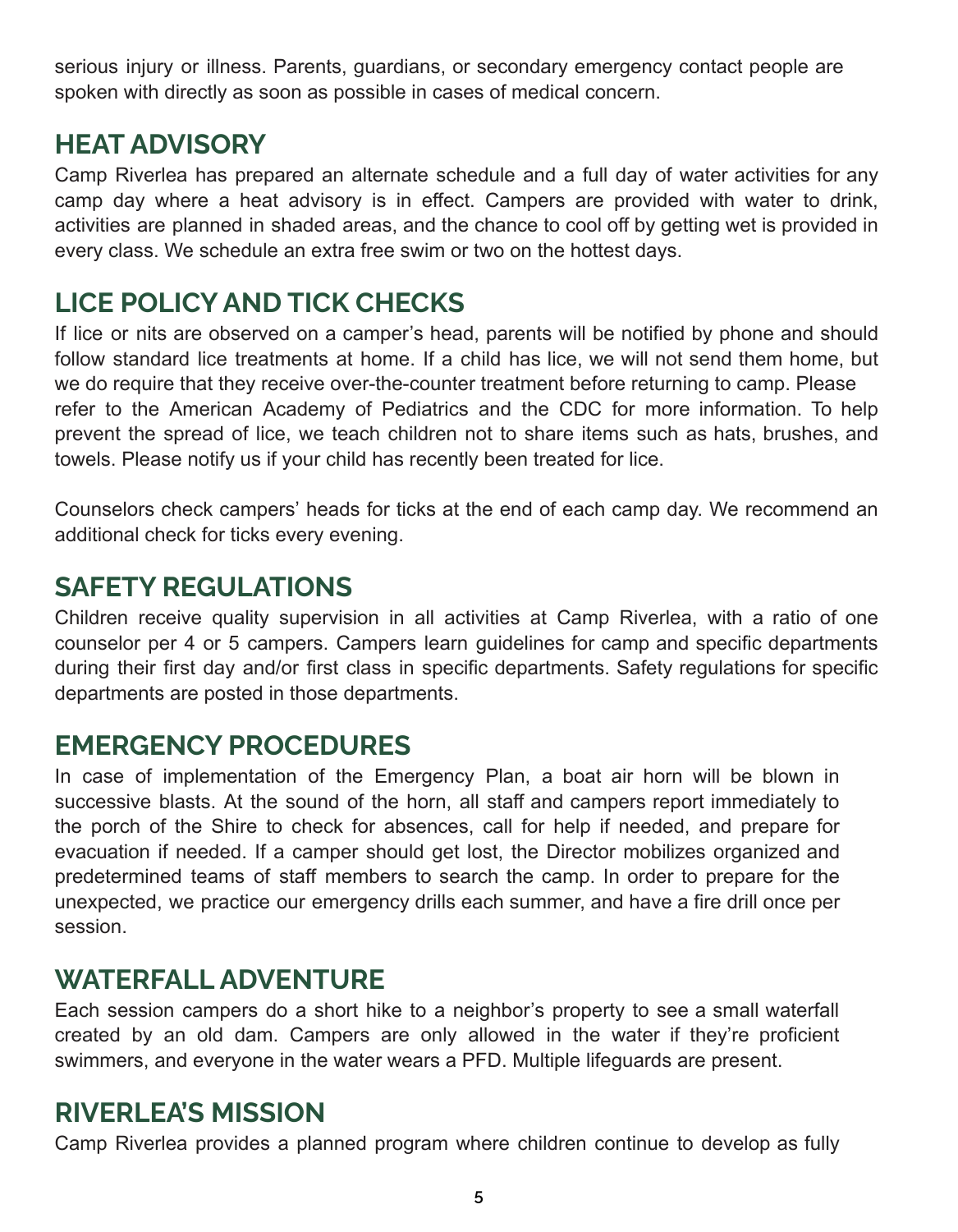serious injury or illness. Parents, guardians, or secondary emergency contact people are spoken with directly as soon as possible in cases of medical concern.

# **HEAT ADVISORY**

Camp Riverlea has prepared an alternate schedule and a full day of water activities for any camp day where a heat advisory is in effect. Campers are provided with water to drink, activities are planned in shaded areas, and the chance to cool off by getting wet is provided in every class. We schedule an extra free swim or two on the hottest days.

# **LICE POLICY AND TICK CHECKS**

If lice or nits are observed on a camper's head, parents will be notified by phone and should follow standard lice treatments at home. If a child has lice, we will not send them home, but we do require that they receive over-the-counter treatment before returning to camp. Please refer to the American Academy of Pediatrics and the CDC for more information. To help prevent the spread of lice, we teach children not to share items such as hats, brushes, and towels. Please notify us if your child has recently been treated for lice.

Counselors check campers' heads for ticks at the end of each camp day. We recommend an additional check for ticks every evening.

## **SAFETY REGULATIONS**

Children receive quality supervision in all activities at Camp Riverlea, with a ratio of one counselor per 4 or 5 campers. Campers learn guidelines for camp and specific departments during their first day and/or first class in specific departments. Safety regulations for specific departments are posted in those departments.

### **EMERGENCY PROCEDURES**

In case of implementation of the Emergency Plan, a boat air horn will be blown in successive blasts. At the sound of the horn, all staff and campers report immediately to the porch of the Shire to check for absences, call for help if needed, and prepare for evacuation if needed. If a camper should get lost, the Director mobilizes organized and predetermined teams of staff members to search the camp. In order to prepare for the unexpected, we practice our emergency drills each summer, and have a fire drill once per session.

### **WATERFALL ADVENTURE**

Each session campers do a short hike to a neighbor's property to see a small waterfall created by an old dam. Campers are only allowed in the water if they're proficient swimmers, and everyone in the water wears a PFD. Multiple lifeguards are present.

# **RIVERLEA'S MISSION**

Camp Riverlea provides a planned program where children continue to develop as fully